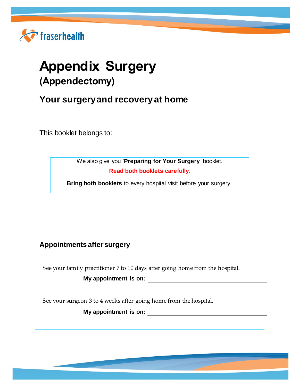

# **Appendix Surgery (Appendectomy)**

**Your surgery and recovery at home**

This booklet belongs to:

We also give you '**Preparing for Your Surgery**' booklet. **Read both booklets carefully.**

**Bring both booklets** to every hospital visit before your surgery.

# **Appointments after surgery**

See your family practitioner 7 to 10 days after going home from the hospital.

**My appointment is on:**

See your surgeon 3 to 4 weeks after going home from the hospital.

**My appointment is on:**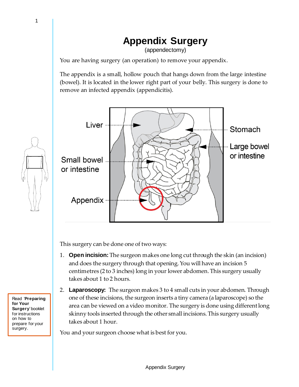# **Appendix Surgery**

(appendectomy)

You are having surgery (an operation) to remove your appendix.

The appendix is a small, hollow pouch that hangs down from the large intestine (bowel). It is located in the lower right part of your belly. This surgery is done to remove an infected appendix (appendicitis).



This surgery can be done one of two ways:

- 1. **Open incision:**The surgeon makes one long cut through the skin (an incision) and does the surgery through that opening. You will have an incision 5 centimetres (2 to 3 inches) long in your lower abdomen. This surgery usually takes about 1 to 2 hours.
- 2. **Laparoscopy:** The surgeon makes 3 to 4 small cuts in your abdomen. Through one of these incisions, the surgeon inserts a tiny camera (a laparoscope) so the area can be viewed on a video monitor. The surgery is done using different long skinny tools inserted through the other small incisions. This surgery usually takes about 1 hour.

You and your surgeon choose what is best for you.

Read '**Preparing for Your Surgery**' booklet for instructions on how to prepare for your surgery.

1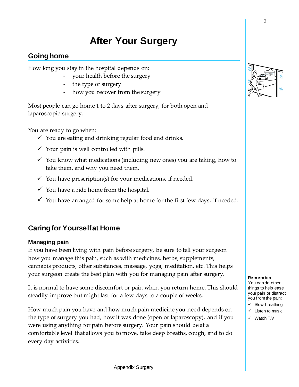# **After Your Surgery**

# **Going home**

How long you stay in the hospital depends on:

- your health before the surgery
- the type of surgery
- how you recover from the surgery

Most people can go home 1 to 2 days after surgery, for both open and laparoscopic surgery.

You are ready to go when:

- $\checkmark$  You are eating and drinking regular food and drinks.
- $\checkmark$  Your pain is well controlled with pills.
- $\checkmark$  You know what medications (including new ones) you are taking, how to take them, and why you need them.
- $\checkmark$  You have prescription(s) for your medications, if needed.
- $\checkmark$  You have a ride home from the hospital.
- $\checkmark$  You have arranged for some help at home for the first few days, if needed.

# **Caring for Yourself at Home**

## **Managing pain**

If you have been living with pain before surgery, be sure to tell your surgeon how you manage this pain, such as with medicines, herbs, supplements, cannabis products, other substances, massage, yoga, meditation, etc. This helps your surgeon create the best plan with you for managing pain after surgery.

It is normal to have some discomfort or pain when you return home. This should steadily improve but might last for a few days to a couple of weeks.

How much pain you have and how much pain medicine you need depends on the type of surgery you had, how it was done (open or laparoscopy), and if you were using anything for pain before surgery. Your pain should be at a comfortable level that allows you to move, take deep breaths, cough, and to do every day activities.



#### **Remember**

You can do other things to help ease your pain or distract you from the pain:  $\checkmark$  Slow breathing  $\checkmark$  Listen to music

 $\checkmark$  Watch T.V.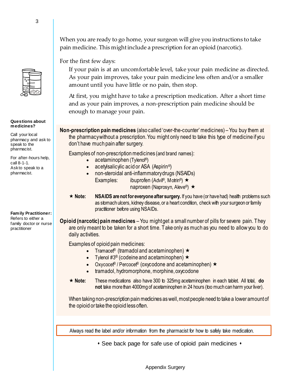When you are ready to go home, your surgeon will give you instructions to take pain medicine. This might include a prescription for an opioid (narcotic).

For the first few days:

If your pain is at an uncomfortable level, take your pain medicine as directed. As your pain improves, take your pain medicine less often and/or a smaller amount until you have little or no pain, then stop.

At first, you might have to take a prescription medication. After a short time and as your pain improves, a non-prescription pain medicine should be enough to manage your pain.

**Non-prescription pain medicines** (also called 'over-the-counter' medicines) – You buy them at the pharmacy without a prescription. You might only need to take this type of medicine if you don't have much pain after surgery.

Examples of non-prescription medicines (and brand names):

- acetaminophen (Tylenol®)
- acetyl salicylic acid or ASA (Aspirin<sup>®</sup>)
- non-steroidal anti-inflammatory drugs (NSAIDs) Examples: ibuprofen (Advil®, Motrin®)  $\star$ naproxen (Naprosyn, Aleve®) ★
- **Note: NSAIDS are not for everyone after surgery.** If you have (or have had) health problems such as stomach ulcers, kidney disease, or a heart condition, check with your surgeon or family practitioner before using NSAIDs.

**Opioid (narcotic) pain medicines** – You might get a small number of pills for severe pain. They are only meant to be taken for a short time. Take only as much as you need to allow you to do daily activities.

Examples of opioid pain medicines:

- Tramacet® (tramadol and acetaminophen)  $\star$
- Tylenol  $\#3^{\circledR}$  (codeine and acetaminophen)  $\star$
- Oxycocet<sup>®</sup> / Percocet<sup>®</sup> (oxycodone and acetaminophen)  $\star$
- tramadol, hydromorphone, morphine, oxycodone
- **Note:** These medications also have 300 to 325mg acetaminophen in each tablet. All total, **do not** take more than 4000mg of acetaminophen in 24 hours (too much can harm your liver).

When taking non-prescription pain medicines as well, most people need to take a lower amount of the opioid or take the opioid less often.

Always read the label and/or information from the pharmacist for how to safely take medication.

• See back page for safe use of opioid pain medicines •

Ask to speak to a pharmacist.

For after-hours help,

call 8-1-1.

**Family Practitioner:** Refers to either a family doctor or nurse practitioner



**Questions about medicines?** Call your local pharmacy and ask to speak to the pharmacist.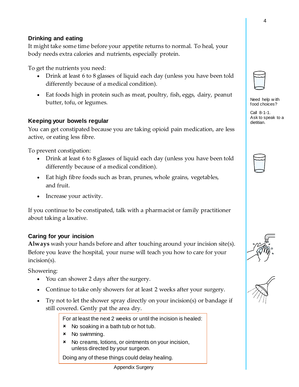#### Appendix Surgery

4

## **Drinking and eating**

It might take some time before your appetite returns to normal. To heal, your body needs extra calories and nutrients, especially protein.

To get the nutrients you need:

- Drink at least 6 to 8 glasses of liquid each day (unless you have been told differently because of a medical condition).
- Eat foods high in protein such as meat, poultry, fish, eggs, dairy, peanut butter, tofu, or legumes.

## **Keeping your bowels regular**

You can get constipated because you are taking opioid pain medication, are less active, or eating less fibre.

To prevent constipation:

- Drink at least 6 to 8 glasses of liquid each day (unless you have been told differently because of a medical condition).
- Eat high fibre foods such as bran, prunes, whole grains, vegetables, and fruit.
- Increase your activity.

If you continue to be constipated, talk with a pharmacist or family practitioner about taking a laxative.

## **Caring for your incision**

**Always** wash your hands before and after touching around your incision site(s). Before you leave the hospital, your nurse will teach you how to care for your incision(s).

Showering:

- You can shower 2 days after the surgery.
- Continue to take only showers for at least 2 weeks after your surgery.
- Try not to let the shower spray directly on your incision(s) or bandage if still covered. Gently pat the area dry.

For at least the next 2 weeks or until the incision is healed:

- **\*** No soaking in a bath tub or hot tub.
- **x** No swimming.
- No creams, lotions, or ointments on your incision, unless directed by your surgeon.

Doing any of these things could delay healing.



Need help w ith food choices?

Call 8-1-1. Ask to speak to a dietitian.





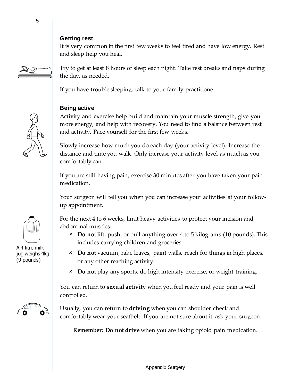#### **Getting rest**

It is very common in the first few weeks to feel tired and have low energy. Rest and sleep help you heal.

Try to get at least 8 hours of sleep each night. Take rest breaks and naps during the day, as needed.

If you have trouble sleeping, talk to your family practitioner.

### **Being active**

Activity and exercise help build and maintain your muscle strength, give you more energy, and help with recovery. You need to find a balance between rest and activity. Pace yourself for the first few weeks.

Slowly increase how much you do each day (your activity level). Increase the distance and time you walk. Only increase your activity level as much as you comfortably can.

If you are still having pain, exercise 30 minutes after you have taken your pain medication.

Your surgeon will tell you when you can increase your activities at your followup appointment.

For the next 4 to 6 weeks, limit heavy activities to protect your incision and abdominal muscles:

- **Do not** lift, push, or pull anything over 4 to 5 kilograms (10 pounds). This includes carrying children and groceries.
- **Do not** vacuum, rake leaves, paint walls, reach for things in high places, or any other reaching activity.
- **Do not** play any sports, do high intensity exercise, or weight training.

You can return to **sexual activity** when you feel ready and your pain is well controlled.

Usually, you can return to **driving** when you can shoulder check and comfortably wear your seatbelt. If you are not sure about it, ask your surgeon.

**Remember: Do not drive** when you are taking opioid pain medication.



A 4 litre milk jug weighs 4kg (9 pounds)

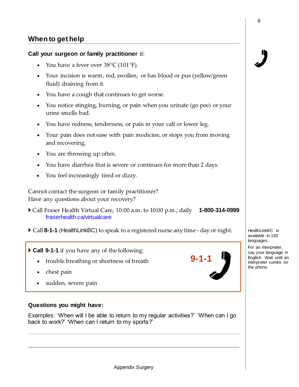## **When to get help**

#### **Call your surgeon or family practitioner** if:

- You have a fever over  $38^{\circ}C(101^{\circ}F)$ .
- Your incision is warm, red, swollen, or has blood or pus (yellow/green fluid) draining from it.
- You have a cough that continues to get worse.
- You notice stinging, burning, or pain when you urinate (go pee) or your urine smells bad.
- You have redness, tenderness, or pain in your calf or lower leg.
- Your pain does not ease with pain medicine, or stops you from moving and recovering.
- You are throwing up often.
- You have diarrhea that is severe or continues for more than 2 days.
- You feel increasingly tired or dizzy.

Cannot contact the surgeon or family practitioner? Have any questions about your recovery?

- Call Fraser Health Virtual Care, 10:00 a.m. to 10:00 p.m., daily **1-800-314-0999** [fraserhealth.ca/virtualcare](https://www.fraserhealth.ca/patients-and-visitors/fraser-health-virtual-care)
- Call **8-1-1** (HealthLinkBC) to speak to a registered nurse any time day or night.
- **Call 9-1-1** if you have any of the following:
	- trouble breathing or shortness of breath
	- chest pain
	- sudden, severe pain

#### **Questions you might have:**

Examples: 'When will I be able to return to my regular activities?' 'When can I go back to work?' 'When can I return to my sports?'



HealthLinkBC is available in 130 languages. For an interpreter, say your language in English. Wait until an interpreter comes on the phone.